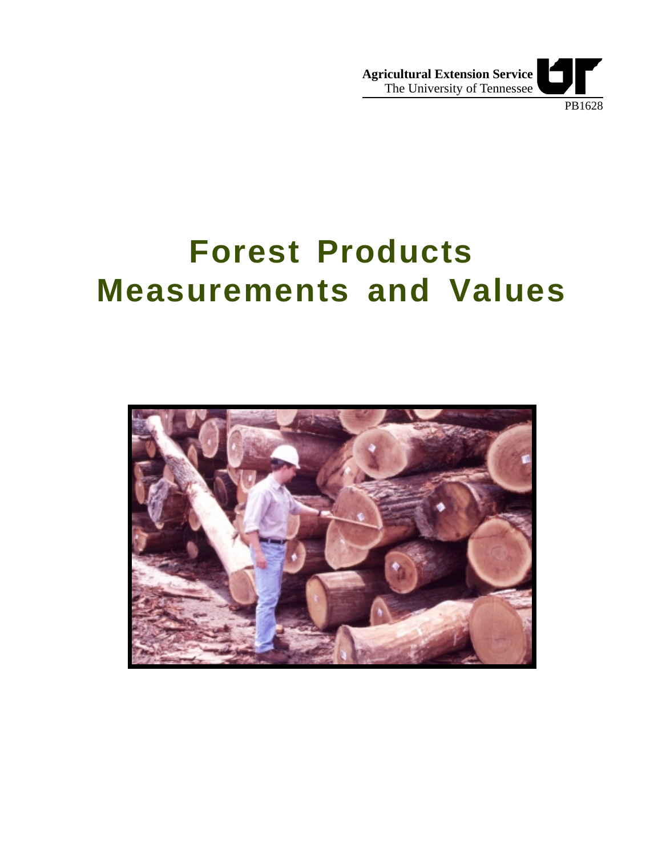

**Forest Products Measurements and Values**

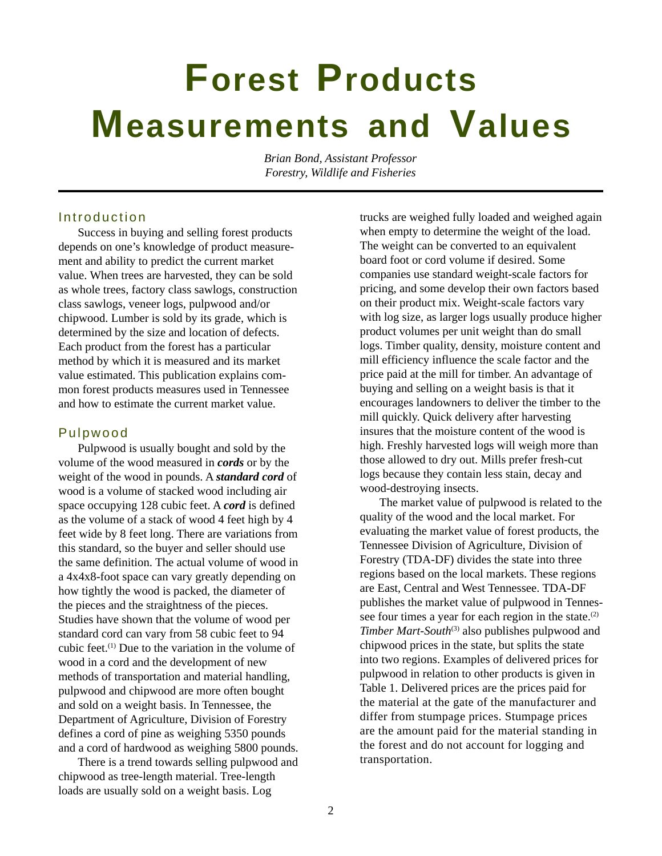# **Forest Products Measurements and Values**

*Brian Bond, Assistant Professor Forestry, Wildlife and Fisheries*

## Introduction

Success in buying and selling forest products depends on one's knowledge of product measurement and ability to predict the current market value. When trees are harvested, they can be sold as whole trees, factory class sawlogs, construction class sawlogs, veneer logs, pulpwood and/or chipwood. Lumber is sold by its grade, which is determined by the size and location of defects. Each product from the forest has a particular method by which it is measured and its market value estimated. This publication explains common forest products measures used in Tennessee and how to estimate the current market value.

# Pulpwood

Pulpwood is usually bought and sold by the volume of the wood measured in *cords* or by the weight of the wood in pounds. A *standard cord* of wood is a volume of stacked wood including air space occupying 128 cubic feet. A *cord* is defined as the volume of a stack of wood 4 feet high by 4 feet wide by 8 feet long. There are variations from this standard, so the buyer and seller should use the same definition. The actual volume of wood in a 4x4x8-foot space can vary greatly depending on how tightly the wood is packed, the diameter of the pieces and the straightness of the pieces. Studies have shown that the volume of wood per standard cord can vary from 58 cubic feet to 94 cubic feet.(1) Due to the variation in the volume of wood in a cord and the development of new methods of transportation and material handling, pulpwood and chipwood are more often bought and sold on a weight basis. In Tennessee, the Department of Agriculture, Division of Forestry defines a cord of pine as weighing 5350 pounds and a cord of hardwood as weighing 5800 pounds.

There is a trend towards selling pulpwood and chipwood as tree-length material. Tree-length loads are usually sold on a weight basis. Log

trucks are weighed fully loaded and weighed again when empty to determine the weight of the load. The weight can be converted to an equivalent board foot or cord volume if desired. Some companies use standard weight-scale factors for pricing, and some develop their own factors based on their product mix. Weight-scale factors vary with log size, as larger logs usually produce higher product volumes per unit weight than do small logs. Timber quality, density, moisture content and mill efficiency influence the scale factor and the price paid at the mill for timber. An advantage of buying and selling on a weight basis is that it encourages landowners to deliver the timber to the mill quickly. Quick delivery after harvesting insures that the moisture content of the wood is high. Freshly harvested logs will weigh more than those allowed to dry out. Mills prefer fresh-cut logs because they contain less stain, decay and wood-destroying insects.

The market value of pulpwood is related to the quality of the wood and the local market. For evaluating the market value of forest products, the Tennessee Division of Agriculture, Division of Forestry (TDA-DF) divides the state into three regions based on the local markets. These regions are East, Central and West Tennessee. TDA-DF publishes the market value of pulpwood in Tennessee four times a year for each region in the state.<sup>(2)</sup> *Timber Mart-South*<sup>(3)</sup> also publishes pulpwood and chipwood prices in the state, but splits the state into two regions. Examples of delivered prices for pulpwood in relation to other products is given in Table 1. Delivered prices are the prices paid for the material at the gate of the manufacturer and differ from stumpage prices. Stumpage prices are the amount paid for the material standing in the forest and do not account for logging and transportation.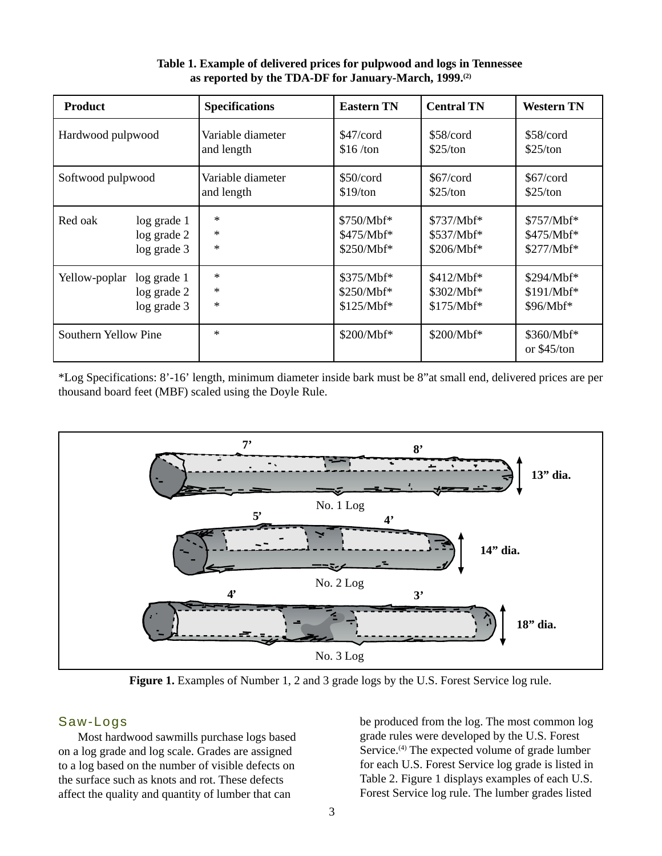| <b>Product</b>       |                 | <b>Specifications</b> | <b>Eastern TN</b> | <b>Central TN</b> | <b>Western TN</b>         |
|----------------------|-----------------|-----------------------|-------------------|-------------------|---------------------------|
| Hardwood pulpwood    |                 | Variable diameter     | $$47/c$ ord       | $$58/c$ ord       | \$58/cord                 |
|                      |                 | and length            | \$16/ton          | \$25/ton          | \$25/ton                  |
| Softwood pulpwood    |                 | Variable diameter     | \$50/cord         | \$67/cord         | \$67/cord                 |
|                      |                 | and length            | \$19/ton          | \$25/ton          | \$25/ton                  |
| Red oak              | $log$ grade $1$ | $\ast$                | \$750/Mbf*        | $$737/Mbf**$      | \$757/Mbf*                |
|                      | log grade 2     | $\ast$                | $$475/Mbf**$      | \$537/Mbf*        | \$475/Mbf*                |
|                      | log grade 3     | $\ast$                | \$250/Mbf*        | $$206/Mbf**$      | \$277/Mbf*                |
| Yellow-poplar        | $log$ grade $1$ | $\ast$                | \$375/Mbf*        | $$412/Mbf*$       | \$294/Mbf*                |
|                      | $log$ grade $2$ | $\ast$                | \$250/Mbf*        | \$302/Mbf*        | $$191/Mbf**$              |
|                      | log grade 3     | $\ast$                | \$125/Mbf*        | $$175/Mbf**$      | \$96/Mbf*                 |
| Southern Yellow Pine |                 | $\ast$                | \$200/Mbf*        | \$200/Mbf*        | \$360/Mbf*<br>or \$45/ton |

 **Table 1. Example of delivered prices for pulpwood and logs in Tennessee as reported by the TDA-DF for January-March, 1999.(2)**

\*Log Specifications: 8'-16' length, minimum diameter inside bark must be 8"at small end, delivered prices are per thousand board feet (MBF) scaled using the Doyle Rule.



Figure 1. Examples of Number 1, 2 and 3 grade logs by the U.S. Forest Service log rule.

# Saw-Logs

Most hardwood sawmills purchase logs based on a log grade and log scale. Grades are assigned to a log based on the number of visible defects on the surface such as knots and rot. These defects affect the quality and quantity of lumber that can

be produced from the log. The most common log grade rules were developed by the U.S. Forest Service.<sup>(4)</sup> The expected volume of grade lumber for each U.S. Forest Service log grade is listed in Table 2. Figure 1 displays examples of each U.S. Forest Service log rule. The lumber grades listed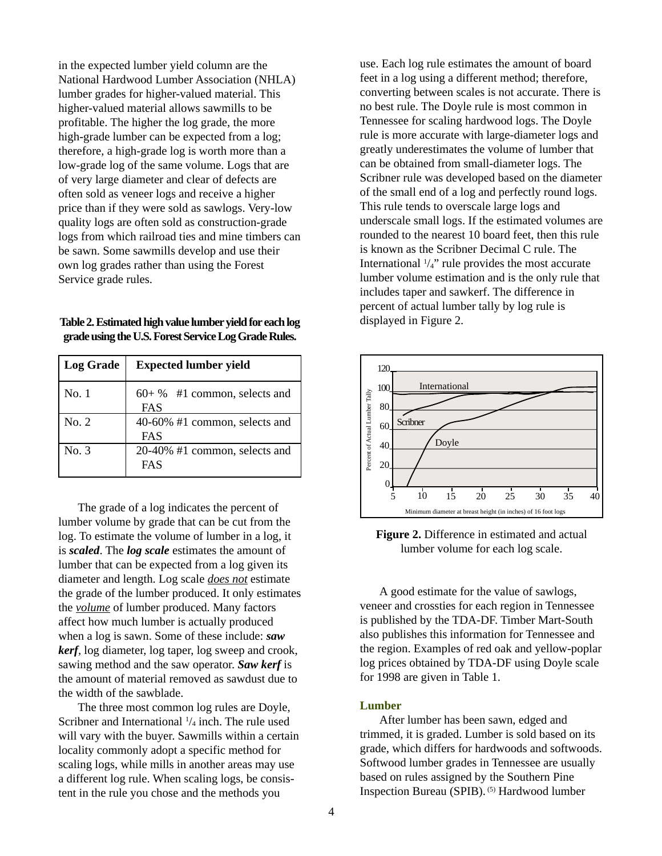in the expected lumber yield column are the National Hardwood Lumber Association (NHLA) lumber grades for higher-valued material. This higher-valued material allows sawmills to be profitable. The higher the log grade, the more high-grade lumber can be expected from a log; therefore, a high-grade log is worth more than a low-grade log of the same volume. Logs that are of very large diameter and clear of defects are often sold as veneer logs and receive a higher price than if they were sold as sawlogs. Very-low quality logs are often sold as construction-grade logs from which railroad ties and mine timbers can be sawn. Some sawmills develop and use their own log grades rather than using the Forest Service grade rules.

**Table 2. Estimated high value lumber yield for each log grade using the U.S. Forest Service Log Grade Rules.**

| Log Grade | <b>Expected lumber yield</b>          |  |  |
|-----------|---------------------------------------|--|--|
| No. 1     | $60+$ % #1 common, selects and<br>FAS |  |  |
| No.2      | 40-60% #1 common, selects and<br>FAS  |  |  |
| No. 3     | 20-40% #1 common, selects and<br>FAS  |  |  |

The grade of a log indicates the percent of lumber volume by grade that can be cut from the log. To estimate the volume of lumber in a log, it is *scaled*. The *log scale* estimates the amount of lumber that can be expected from a log given its diameter and length. Log scale *does not* estimate the grade of the lumber produced. It only estimates the *volume* of lumber produced. Many factors affect how much lumber is actually produced when a log is sawn. Some of these include: *saw kerf,* log diameter, log taper, log sweep and crook, sawing method and the saw operator. *Saw kerf* is the amount of material removed as sawdust due to the width of the sawblade.

The three most common log rules are Doyle, Scribner and International  $\frac{1}{4}$  inch. The rule used will vary with the buyer. Sawmills within a certain locality commonly adopt a specific method for scaling logs, while mills in another areas may use a different log rule. When scaling logs, be consistent in the rule you chose and the methods you

use. Each log rule estimates the amount of board feet in a log using a different method; therefore, converting between scales is not accurate. There is no best rule. The Doyle rule is most common in Tennessee for scaling hardwood logs. The Doyle rule is more accurate with large-diameter logs and greatly underestimates the volume of lumber that can be obtained from small-diameter logs. The Scribner rule was developed based on the diameter of the small end of a log and perfectly round logs. This rule tends to overscale large logs and underscale small logs. If the estimated volumes are rounded to the nearest 10 board feet, then this rule is known as the Scribner Decimal C rule. The International  $\frac{1}{4}$ " rule provides the most accurate lumber volume estimation and is the only rule that includes taper and sawkerf. The difference in percent of actual lumber tally by log rule is displayed in Figure 2.



**Figure 2.** Difference in estimated and actual lumber volume for each log scale.

A good estimate for the value of sawlogs, veneer and crossties for each region in Tennessee is published by the TDA-DF. Timber Mart-South also publishes this information for Tennessee and the region. Examples of red oak and yellow-poplar log prices obtained by TDA-DF using Doyle scale for 1998 are given in Table 1.

#### **Lumber**

After lumber has been sawn, edged and trimmed, it is graded. Lumber is sold based on its grade, which differs for hardwoods and softwoods. Softwood lumber grades in Tennessee are usually based on rules assigned by the Southern Pine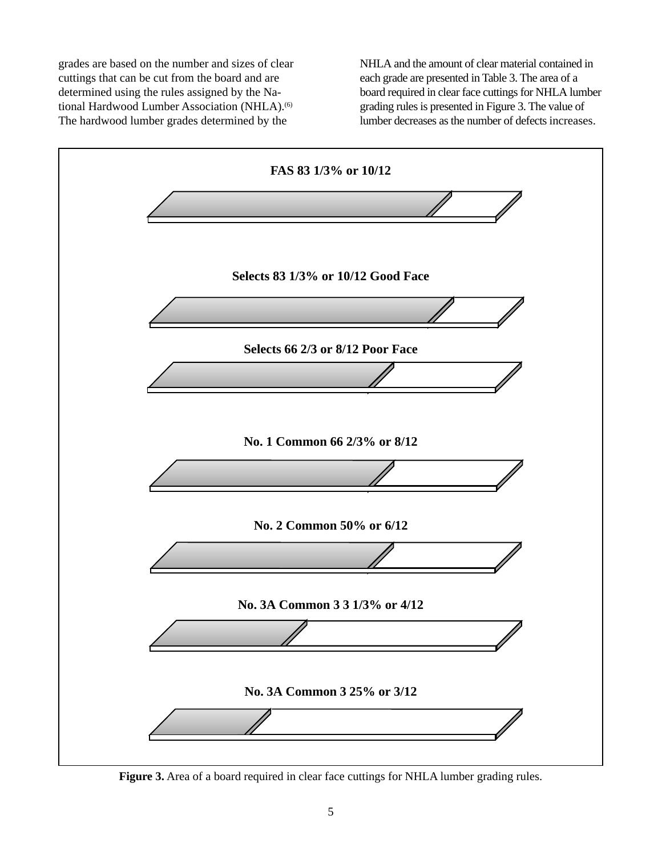grades are based on the number and sizes of clear cuttings that can be cut from the board and are determined using the rules assigned by the National Hardwood Lumber Association (NHLA).<sup>(6)</sup> The hardwood lumber grades determined by the

NHLA and the amount of clear material contained in each grade are presented in Table 3. The area of a board required in clear face cuttings for NHLA lumber grading rules is presented in Figure 3. The value of lumber decreases as the number of defects increases.



**Figure 3.** Area of a board required in clear face cuttings for NHLA lumber grading rules.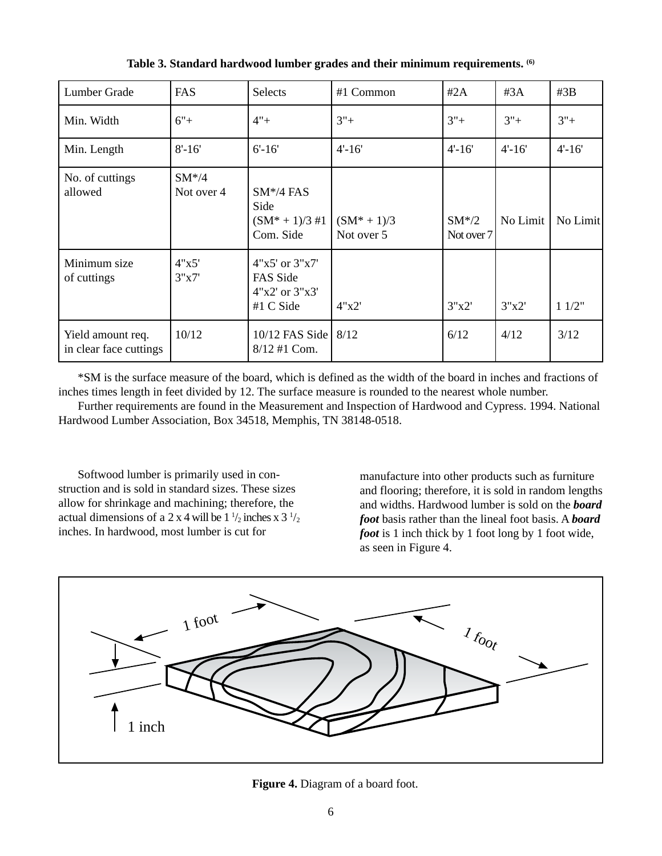| Lumber Grade                                | FAS                     | <b>Selects</b>                                                    | #1 Common                    | #2A                   | #3A        | #3B        |
|---------------------------------------------|-------------------------|-------------------------------------------------------------------|------------------------------|-----------------------|------------|------------|
| Min. Width                                  | $6"+$                   | $4" +$                                                            | $3"+$                        | $3"+$                 | $3"+$      | $3"+$      |
| Min. Length                                 | $8' - 16'$              | $6' - 16'$                                                        | $4' - 16'$                   | $4' - 16'$            | $4' - 16'$ | $4' - 16'$ |
| No. of cuttings<br>allowed                  | $SM* / 4$<br>Not over 4 | $SM*/4$ FAS<br>Side<br>$(SM^* + 1)/3$ #1<br>Com. Side             | $(SM^* + 1)/3$<br>Not over 5 | $SM*/2$<br>Not over 7 | No Limit   | No Limit   |
| Minimum size<br>of cuttings                 | 4"x5'<br>3"x7'          | $4"x5'$ or $3"x7'$<br>FAS Side<br>$4"x2'$ or $3"x3'$<br>#1 C Side | 4"x2'                        | 3"x2"                 | 3"x2"      | 11/2"      |
| Yield amount req.<br>in clear face cuttings | 10/12                   | 10/12 FAS Side   8/12<br>$8/12$ #1 Com.                           |                              | 6/12                  | 4/12       | 3/12       |

**Table 3. Standard hardwood lumber grades and their minimum requirements. (6)**

\*SM is the surface measure of the board, which is defined as the width of the board in inches and fractions of inches times length in feet divided by 12. The surface measure is rounded to the nearest whole number.

Further requirements are found in the Measurement and Inspection of Hardwood and Cypress. 1994. National Hardwood Lumber Association, Box 34518, Memphis, TN 38148-0518.

Softwood lumber is primarily used in construction and is sold in standard sizes. These sizes allow for shrinkage and machining; therefore, the actual dimensions of a 2 x 4 will be  $1\frac{1}{2}$  inches x  $3\frac{1}{2}$ inches. In hardwood, most lumber is cut for

manufacture into other products such as furniture and flooring; therefore, it is sold in random lengths and widths. Hardwood lumber is sold on the *board foot* basis rather than the lineal foot basis. A *board foot* is 1 inch thick by 1 foot long by 1 foot wide, as seen in Figure 4.



 **Figure 4.** Diagram of a board foot.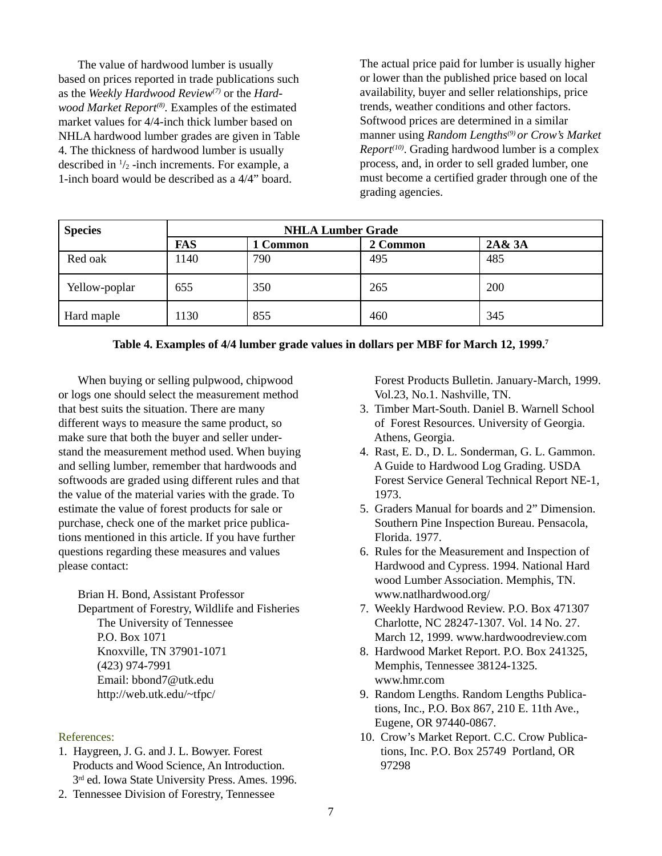The value of hardwood lumber is usually based on prices reported in trade publications such as the *Weekly Hardwood Review(7)* or the *Hardwood Market Report(8).* Examples of the estimated market values for 4/4-inch thick lumber based on NHLA hardwood lumber grades are given in Table 4. The thickness of hardwood lumber is usually described in  $\frac{1}{2}$ -inch increments. For example, a 1-inch board would be described as a 4/4" board.

The actual price paid for lumber is usually higher or lower than the published price based on local availability, buyer and seller relationships, price trends, weather conditions and other factors. Softwood prices are determined in a similar manner using *Random Lengths(9) or Crow's Market Report(10)*. Grading hardwood lumber is a complex process, and, in order to sell graded lumber, one must become a certified grader through one of the grading agencies.

| <b>Species</b> | <b>NHLA Lumber Grade</b> |          |          |        |
|----------------|--------------------------|----------|----------|--------|
|                | <b>FAS</b>               | 1 Common | 2 Common | 2A& 3A |
| Red oak        | 1140                     | 790      | 495      | 485    |
| Yellow-poplar  | 655                      | 350      | 265      | 200    |
| Hard maple     | 1130                     | 855      | 460      | 345    |

## **Table 4. Examples of 4/4 lumber grade values in dollars per MBF for March 12, 1999.7**

When buying or selling pulpwood, chipwood or logs one should select the measurement method that best suits the situation. There are many different ways to measure the same product, so make sure that both the buyer and seller understand the measurement method used. When buying and selling lumber, remember that hardwoods and softwoods are graded using different rules and that the value of the material varies with the grade. To estimate the value of forest products for sale or purchase, check one of the market price publications mentioned in this article. If you have further questions regarding these measures and values please contact:

Brian H. Bond, Assistant Professor Department of Forestry, Wildlife and Fisheries The University of Tennessee P.O. Box 1071 Knoxville, TN 37901-1071 (423) 974-7991 Email: bbond7@utk.edu http://web.utk.edu/~tfpc/

### References:

- 1. Haygreen, J. G. and J. L. Bowyer. Forest Products and Wood Science, An Introduction. 3<sup>rd</sup> ed. Iowa State University Press. Ames. 1996.
- 2. Tennessee Division of Forestry, Tennessee

 Forest Products Bulletin. January-March, 1999. Vol.23, No.1. Nashville, TN.

- 3. Timber Mart-South. Daniel B. Warnell School of Forest Resources. University of Georgia. Athens, Georgia.
- 4. Rast, E. D., D. L. Sonderman, G. L. Gammon. A Guide to Hardwood Log Grading. USDA Forest Service General Technical Report NE-1, 1973.
- 5. Graders Manual for boards and 2" Dimension. Southern Pine Inspection Bureau. Pensacola, Florida. 1977.
- 6. Rules for the Measurement and Inspection of Hardwood and Cypress. 1994. National Hard wood Lumber Association. Memphis, TN. www.natlhardwood.org/
- 7. Weekly Hardwood Review. P.O. Box 471307 Charlotte, NC 28247-1307. Vol. 14 No. 27. March 12, 1999. www.hardwoodreview.com
- 8. Hardwood Market Report. P.O. Box 241325, Memphis, Tennessee 38124-1325. www.hmr.com
- 9. Random Lengths. Random Lengths Publica tions, Inc., P.O. Box 867, 210 E. 11th Ave., Eugene, OR 97440-0867.
- 10. Crow's Market Report. C.C. Crow Publica tions, Inc. P.O. Box 25749 Portland, OR 97298